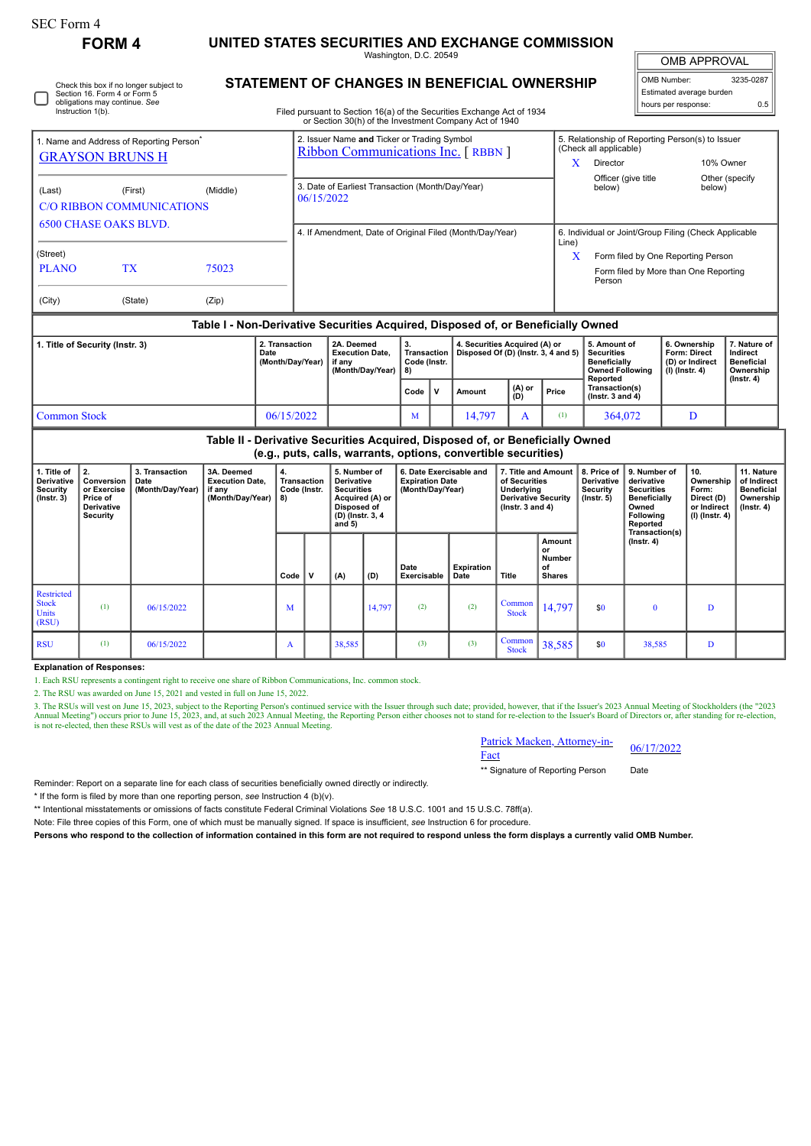| SEC Form 4                                                                                                   | <b>FORM 4</b>                                                                       |                                            | UNITED STATES SECURITIES AND EXCHANGE COMMISSION                                 |          |                                                                                   |                                                                                  |                                                                                                                   |                                          |                                                                       |                  |                                                                                                                                                                                         |                        |                                                                                                                  |                                                                                                                            |                                                                                                                                      |                                                                          |                                                                                 |                  |
|--------------------------------------------------------------------------------------------------------------|-------------------------------------------------------------------------------------|--------------------------------------------|----------------------------------------------------------------------------------|----------|-----------------------------------------------------------------------------------|----------------------------------------------------------------------------------|-------------------------------------------------------------------------------------------------------------------|------------------------------------------|-----------------------------------------------------------------------|------------------|-----------------------------------------------------------------------------------------------------------------------------------------------------------------------------------------|------------------------|------------------------------------------------------------------------------------------------------------------|----------------------------------------------------------------------------------------------------------------------------|--------------------------------------------------------------------------------------------------------------------------------------|--------------------------------------------------------------------------|---------------------------------------------------------------------------------|------------------|
|                                                                                                              | Section 16. Form 4 or Form 5<br>obligations may continue. See<br>Instruction 1(b).  | Check this box if no longer subject to     |                                                                                  |          |                                                                                   |                                                                                  |                                                                                                                   | Washington, D.C. 20549                   |                                                                       |                  | <b>STATEMENT OF CHANGES IN BENEFICIAL OWNERSHIP</b><br>Filed pursuant to Section 16(a) of the Securities Exchange Act of 1934<br>or Section 30(h) of the Investment Company Act of 1940 |                        |                                                                                                                  |                                                                                                                            |                                                                                                                                      | OMB Number:<br>hours per response:                                       | <b>OMB APPROVAL</b><br>Estimated average burden                                 | 3235-0287<br>0.5 |
| 1. Name and Address of Reporting Person <sup>®</sup><br><b>GRAYSON BRUNS H</b>                               |                                                                                     |                                            |                                                                                  |          | 2. Issuer Name and Ticker or Trading Symbol<br>Ribbon Communications Inc. [RBBN ] |                                                                                  |                                                                                                                   |                                          |                                                                       |                  |                                                                                                                                                                                         |                        | (Check all applicable)<br>Director<br>X                                                                          |                                                                                                                            |                                                                                                                                      | 5. Relationship of Reporting Person(s) to Issuer<br>10% Owner            |                                                                                 |                  |
| (Middle)<br>(Last)<br>(First)<br><b>C/O RIBBON COMMUNICATIONS</b>                                            |                                                                                     |                                            |                                                                                  |          | 3. Date of Earliest Transaction (Month/Day/Year)<br>06/15/2022                    |                                                                                  |                                                                                                                   |                                          |                                                                       |                  |                                                                                                                                                                                         |                        |                                                                                                                  | Officer (give title<br>Other (specify<br>below)<br>below)                                                                  |                                                                                                                                      |                                                                          |                                                                                 |                  |
| <b>6500 CHASE OAKS BLVD.</b><br>(Street)<br><b>PLANO</b><br><b>TX</b><br>75023<br>(City)<br>(State)<br>(Zip) |                                                                                     |                                            |                                                                                  |          |                                                                                   | 4. If Amendment, Date of Original Filed (Month/Day/Year)<br>Line)<br>X<br>Person |                                                                                                                   |                                          |                                                                       |                  |                                                                                                                                                                                         |                        |                                                                                                                  |                                                                                                                            | 6. Individual or Joint/Group Filing (Check Applicable<br>Form filed by One Reporting Person<br>Form filed by More than One Reporting |                                                                          |                                                                                 |                  |
|                                                                                                              |                                                                                     |                                            | Table I - Non-Derivative Securities Acquired, Disposed of, or Beneficially Owned |          |                                                                                   |                                                                                  |                                                                                                                   |                                          |                                                                       |                  |                                                                                                                                                                                         |                        |                                                                                                                  |                                                                                                                            |                                                                                                                                      |                                                                          |                                                                                 |                  |
| 2. Transaction<br>1. Title of Security (Instr. 3)<br>Date<br>(Month/Day/Year)                                |                                                                                     |                                            |                                                                                  |          |                                                                                   | 2A. Deemed<br><b>Execution Date,</b><br>if any<br>(Month/Day/Year)               |                                                                                                                   | <b>Transaction</b><br>Code (Instr.<br>8) |                                                                       |                  | 4. Securities Acquired (A) or<br>Disposed Of (D) (Instr. 3, 4 and 5)<br>$(A)$ or                                                                                                        |                        | 5. Amount of<br><b>Securities</b><br><b>Beneficially</b><br><b>Owned Following</b><br>Reported<br>Transaction(s) |                                                                                                                            | 6. Ownership<br>Form: Direct<br>(D) or Indirect<br>$(I)$ (Instr. 4)                                                                  |                                                                          | 7. Nature of<br>Indirect<br><b>Beneficial</b><br>Ownership<br>$($ Instr. 4 $)$  |                  |
| <b>Common Stock</b>                                                                                          |                                                                                     |                                            |                                                                                  |          |                                                                                   | 06/15/2022                                                                       |                                                                                                                   | Code<br>M                                | $\mathbf{v}$                                                          | Amount<br>14.797 | (D)<br>A                                                                                                                                                                                | Price<br>(1)           | (Instr. $3$ and $4$ )<br>364.072                                                                                 |                                                                                                                            | D                                                                                                                                    |                                                                          |                                                                                 |                  |
|                                                                                                              |                                                                                     |                                            | Table II - Derivative Securities Acquired, Disposed of, or Beneficially Owned    |          |                                                                                   |                                                                                  |                                                                                                                   |                                          |                                                                       |                  | (e.g., puts, calls, warrants, options, convertible securities)                                                                                                                          |                        |                                                                                                                  |                                                                                                                            |                                                                                                                                      |                                                                          |                                                                                 |                  |
| 1. Title of<br>Derivative<br><b>Security</b><br>$($ Instr. 3 $)$                                             | 2.<br>Conversion<br>or Exercise<br>Price of<br><b>Derivative</b><br><b>Security</b> | 3. Transaction<br>Date<br>(Month/Day/Year) | 3A. Deemed<br><b>Execution Date.</b><br>if anv<br>(Month/Day/Year)               | 4.<br>8) | <b>Transaction</b><br>Code (Instr.                                                |                                                                                  | 5. Number of<br>Derivative<br><b>Securities</b><br>Acquired (A) or<br>Disposed of<br>(D) (Instr. 3, 4<br>and $5)$ |                                          | 6. Date Exercisable and<br><b>Expiration Date</b><br>(Month/Day/Year) |                  | 7. Title and Amount<br>of Securities<br>Underlying<br><b>Derivative Security</b><br>$($ lnstr. 3 and 4 $)$                                                                              |                        | 8. Price of<br>Derivative<br><b>Security</b><br>$($ lnstr. 5 $)$                                                 | 9. Number of<br>derivative<br><b>Securities</b><br><b>Beneficially</b><br>Owned<br>Following<br>Reported<br>Transaction(s) |                                                                                                                                      | 10.<br>Ownership<br>Form:<br>Direct (D)<br>or Indirect<br>(I) (Instr. 4) | 11. Nature<br>of Indirect<br><b>Beneficial</b><br>Ownership<br>$($ Instr. 4 $)$ |                  |
|                                                                                                              |                                                                                     |                                            |                                                                                  |          | Code                                                                              | $\mathbf v$                                                                      | (A)                                                                                                               | (D)                                      | Date<br>Exercisable                                                   |                  | <b>Expiration</b><br>Date                                                                                                                                                               | Title                  | Amount<br>or<br>Number<br>of<br><b>Shares</b>                                                                    |                                                                                                                            | $($ Instr. 4 $)$                                                                                                                     |                                                                          |                                                                                 |                  |
| <b>Restricted</b><br><b>Stock</b><br><b>Units</b><br>(RSU)                                                   | (1)                                                                                 | 06/15/2022                                 |                                                                                  |          | M                                                                                 |                                                                                  |                                                                                                                   | 14,797                                   | (2)                                                                   |                  | (2)                                                                                                                                                                                     | Common<br><b>Stock</b> | 14,797                                                                                                           | \$0                                                                                                                        | $\mathbf{0}$                                                                                                                         |                                                                          | D                                                                               |                  |
| <b>RSU</b>                                                                                                   | (1)                                                                                 | 06/15/2022                                 |                                                                                  |          | A                                                                                 |                                                                                  | 38,585                                                                                                            |                                          | (3)                                                                   |                  | (3)                                                                                                                                                                                     | Common<br><b>Stock</b> | 38,585                                                                                                           | \$0                                                                                                                        | 38,585<br>D                                                                                                                          |                                                                          |                                                                                 |                  |

**Explanation of Responses:**

1. Each RSU represents a contingent right to receive one share of Ribbon Communications, Inc. common stock.

2. The RSU was awarded on June 15, 2021 and vested in full on June 15, 2022.

3. The RSUs will vest on June 15, 2023, subject to the Reporting Person's continued service with the Issuer through such date; provided, however, that if the Issuer's 2023 Annual Meeting of Stockholders (the "2023<br>Annual M

| Patrick Macken, Attorney-in- |  | 06/17/2022 |
|------------------------------|--|------------|
| Fact                         |  |            |
|                              |  |            |

\*\* Signature of Reporting Person Date

Reminder: Report on a separate line for each class of securities beneficially owned directly or indirectly.

\* If the form is filed by more than one reporting person, *see* Instruction 4 (b)(v).

\*\* Intentional misstatements or omissions of facts constitute Federal Criminal Violations *See* 18 U.S.C. 1001 and 15 U.S.C. 78ff(a).

Note: File three copies of this Form, one of which must be manually signed. If space is insufficient, *see* Instruction 6 for procedure.

**Persons who respond to the collection of information contained in this form are not required to respond unless the form displays a currently valid OMB Number.**